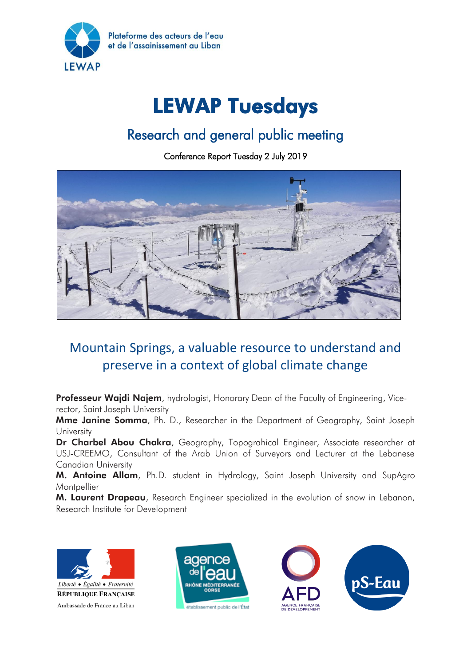

# LEWAP Tuesdays

# Research and general public meeting

Conference Report Tuesday 2 July 2019



## Mountain Springs, a valuable resource to understand and preserve in a context of global climate change

Professeur Wajdi Najem, hydrologist, Honorary Dean of the Faculty of Engineering, Vicerector, Saint Joseph University

Mme Janine Somma, Ph. D., Researcher in the Department of Geography, Saint Joseph **University** 

Dr Charbel Abou Chakra, Geography, Topograhical Engineer, Associate researcher at USJ-CREEMO, Consultant of the Arab Union of Surveyors and Lecturer at the Lebanese Canadian University

M. Antoine Allam, Ph.D. student in Hydrology, Saint Joseph University and SupAgro **Montpellier** 

M. Laurent Drapeau, Research Engineer specialized in the evolution of snow in Lebanon, Research Institute for Development







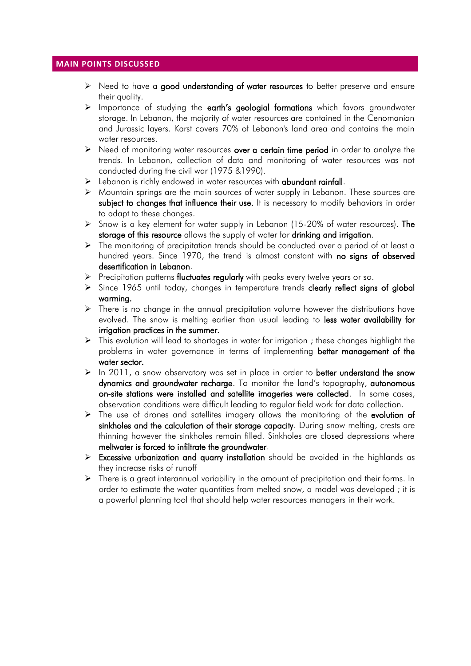#### **MAIN POINTS DISCUSSED**

- $\triangleright$  Need to have a good understanding of water resources to better preserve and ensure their quality.
- $\triangleright$  Importance of studying the earth's geologial formations which favors groundwater storage. In Lebanon, the majority of water resources are contained in the Cenomanian and Jurassic layers. Karst covers 70% of Lebanon's land area and contains the main water resources.
- $\triangleright$  Need of monitoring water resources over a certain time period in order to analyze the trends. In Lebanon, collection of data and monitoring of water resources was not conducted during the civil war (1975 &1990).
- $\triangleright$  Lebanon is richly endowed in water resources with abundant rainfall.
- $\triangleright$  Mountain springs are the main sources of water supply in Lebanon. These sources are subject to changes that influence their use. It is necessary to modify behaviors in order to adapt to these changes.
- $\triangleright$  Snow is a key element for water supply in Lebanon (15-20% of water resources). The storage of this resource allows the supply of water for drinking and irrigation.
- $\triangleright$  The monitoring of precipitation trends should be conducted over a period of at least a hundred years. Since 1970, the trend is almost constant with no signs of observed desertification in Lebanon.
- $\triangleright$  Precipitation patterns fluctuates regularly with peaks every twelve years or so.
- $\triangleright$  Since 1965 until today, changes in temperature trends clearly reflect signs of global warming.
- $\triangleright$  There is no change in the annual precipitation volume however the distributions have evolved. The snow is melting earlier than usual leading to less water availability for irrigation practices in the summer.
- $\triangleright$  This evolution will lead to shortages in water for irrigation; these changes highlight the problems in water governance in terms of implementing better management of the water sector.
- $\triangleright$  In 2011, a snow observatory was set in place in order to better understand the snow dynamics and groundwater recharge. To monitor the land's topography, autonomous on-site stations were installed and satellite imageries were collected. In some cases, observation conditions were difficult leading to regular field work for data collection.
- $\triangleright$  The use of drones and satellites imagery allows the monitoring of the evolution of sinkholes and the calculation of their storage capacity. During snow melting, crests are thinning however the sinkholes remain filled. Sinkholes are closed depressions where meltwater is forced to infiltrate the groundwater.
- Excessive urbanization and quarry installation should be avoided in the highlands as they increase risks of runoff
- $\triangleright$  There is a great interannual variability in the amount of precipitation and their forms. In order to estimate the water quantities from melted snow, a model was developed ; it is a powerful planning tool that should help water resources managers in their work.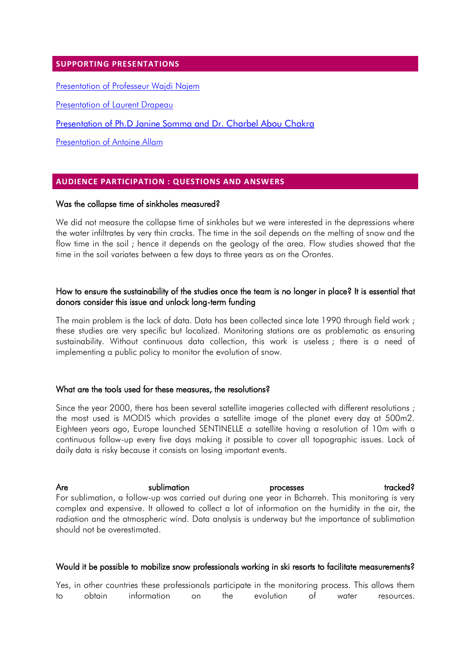#### **SUPPORTING PRESENTATIONS**

Presentation of [Professeur Wajdi Najem](https://www.pseau.org/outils/ouvrages/universite_saint_joseph_wajdi_najem_presentation_les_sources_de_montagnes_2019.pdf)

Presentation of [Laurent Drapeau](https://www.pseau.org/outils/ouvrages/ird_l_observation_spatiale_de_l_enneigement_et_ressources_en_eau_2019.pdf) 

[Presentation of Ph.D Janine Somma and](https://www.pseau.org/files/Jeanine_Marie_et_Dr_Charbel.pdf) Dr. Charbel Abou Chakra

[Presentation of Antoine Allam](https://www.pseau.org/outils/ouvrages/universite_saint_joseph_prevision_des_ressources_en_eau_de_la_source_d_afqa_2019.pdf)

### **AUDIENCE PARTICIPATION : QUESTIONS AND ANSWERS**

#### Was the collapse time of sinkholes measured?

We did not measure the collapse time of sinkholes but we were interested in the depressions where the water infiltrates by very thin cracks. The time in the soil depends on the melting of snow and the flow time in the soil ; hence it depends on the geology of the area. Flow studies showed that the time in the soil variates between a few days to three years as on the Orontes.

#### How to ensure the sustainability of the studies once the team is no longer in place? It is essential that donors consider this issue and unlock long-term funding

The main problem is the lack of data. Data has been collected since late 1990 through field work ; these studies are very specific but localized. Monitoring stations are as problematic as ensuring sustainability. Without continuous data collection, this work is useless ; there is a need of implementing a public policy to monitor the evolution of snow.

#### What are the tools used for these measures, the resolutions?

Since the year 2000, there has been several satellite imageries collected with different resolutions ; the most used is MODIS which provides a satellite image of the planet every day at 500m2. Eighteen years ago, Europe launched SENTINELLE a satellite having a resolution of 10m with a continuous follow-up every five days making it possible to cover all topographic issues. Lack of daily data is risky because it consists on losing important events.

Are and the sublimation of the processes tracked? For sublimation, a follow-up was carried out during one year in Bcharreh. This monitoring is very complex and expensive. It allowed to collect a lot of information on the humidity in the air, the radiation and the atmospheric wind. Data analysis is underway but the importance of sublimation should not be overestimated.

#### Would it be possible to mobilize snow professionals working in ski resorts to facilitate measurements?

Yes, in other countries these professionals participate in the monitoring process. This allows them to obtain information on the evolution of water resources.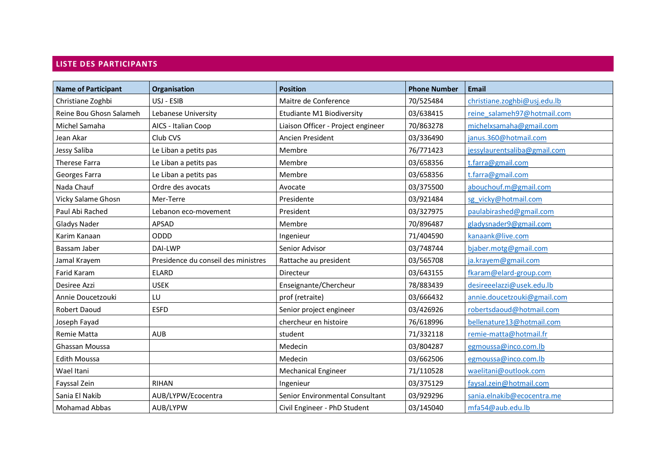### **LISTE DES PARTICIPANTS**

| <b>Name of Participant</b> | Organisation                        | <b>Position</b>                    | <b>Phone Number</b> | <b>Email</b>                 |
|----------------------------|-------------------------------------|------------------------------------|---------------------|------------------------------|
| Christiane Zoghbi          | USJ - ESIB                          | Maitre de Conference               | 70/525484           | christiane.zoghbi@usj.edu.lb |
| Reine Bou Ghosn Salameh    | Lebanese University                 | Etudiante M1 Biodiversity          | 03/638415           | reine_salameh97@hotmail.com  |
| Michel Samaha              | AICS - Italian Coop                 | Liaison Officer - Project engineer | 70/863278           | michelxsamaha@gmail.com      |
| Jean Akar                  | Club CVS                            | Ancien President                   | 03/336490           | janus.360@hotmail.com        |
| Jessy Saliba               | Le Liban a petits pas               | Membre                             | 76/771423           | jessylaurentsaliba@gmail.com |
| <b>Therese Farra</b>       | Le Liban a petits pas               | Membre                             | 03/658356           | t.farra@gmail.com            |
| Georges Farra              | Le Liban a petits pas               | Membre                             | 03/658356           | t.farra@gmail.com            |
| Nada Chauf                 | Ordre des avocats                   | Avocate                            | 03/375500           | abouchouf.m@gmail.com        |
| Vicky Salame Ghosn         | Mer-Terre                           | Presidente                         | 03/921484           | sg vicky@hotmail.com         |
| Paul Abi Rached            | Lebanon eco-movement                | President                          | 03/327975           | paulabirashed@gmail.com      |
| Gladys Nader               | <b>APSAD</b>                        | Membre                             | 70/896487           | gladysnader9@gmail.com       |
| Karim Kanaan               | ODDD                                | Ingenieur                          | 71/404590           | kanaank@live.com             |
| Bassam Jaber               | DAI-LWP                             | Senior Advisor                     | 03/748744           | bjaber.motg@gmail.com        |
| Jamal Krayem               | Presidence du conseil des ministres | Rattache au president              | 03/565708           | ja.krayem@gmail.com          |
| <b>Farid Karam</b>         | <b>ELARD</b>                        | Directeur                          | 03/643155           | fkaram@elard-group.com       |
| Desiree Azzi               | <b>USEK</b>                         | Enseignante/Chercheur              | 78/883439           | desireeelazzi@usek.edu.lb    |
| Annie Doucetzouki          | LU                                  | prof (retraite)                    | 03/666432           | annie.doucetzouki@gmail.com  |
| <b>Robert Daoud</b>        | <b>ESFD</b>                         | Senior project engineer            | 03/426926           | robertsdaoud@hotmail.com     |
| Joseph Fayad               |                                     | chercheur en histoire              | 76/618996           | bellenature13@hotmail.com    |
| Remie Matta                | <b>AUB</b>                          | student                            | 71/332118           | remie-matta@hotmail.fr       |
| Ghassan Moussa             |                                     | Medecin                            | 03/804287           | egmoussa@inco.com.lb         |
| <b>Edith Moussa</b>        |                                     | Medecin                            | 03/662506           | egmoussa@inco.com.lb         |
| Wael Itani                 |                                     | <b>Mechanical Engineer</b>         | 71/110528           | waelitani@outlook.com        |
| Fayssal Zein               | <b>RIHAN</b>                        | Ingenieur                          | 03/375129           | faysal.zein@hotmail.com      |
| Sania El Nakib             | AUB/LYPW/Ecocentra                  | Senior Environmental Consultant    | 03/929296           | sania.elnakib@ecocentra.me   |
| <b>Mohamad Abbas</b>       | AUB/LYPW                            | Civil Engineer - PhD Student       | 03/145040           | mfa54@aub.edu.lb             |